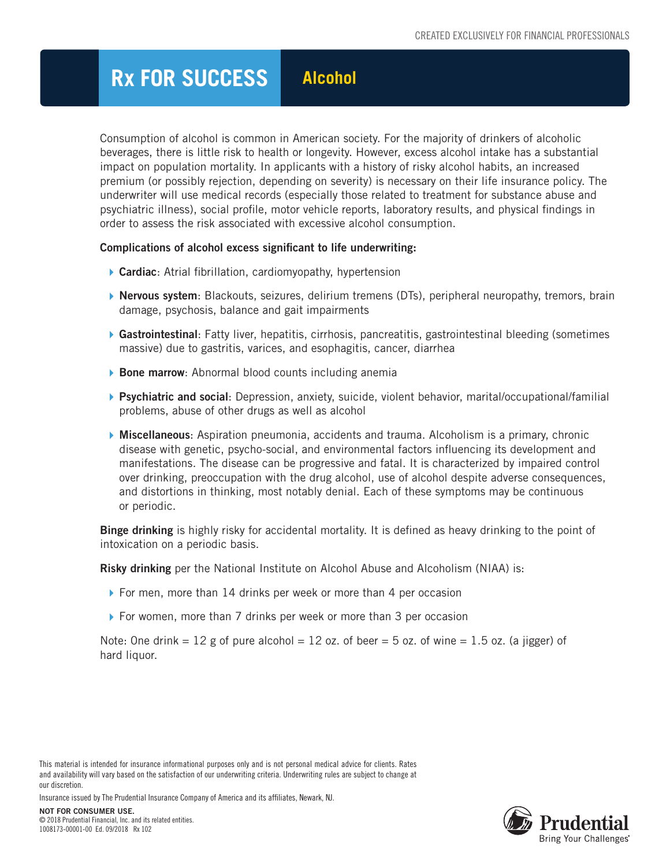## **Rx FOR SUCCESS Alcohol**

Consumption of alcohol is common in American society. For the majority of drinkers of alcoholic beverages, there is little risk to health or longevity. However, excess alcohol intake has a substantial impact on population mortality. In applicants with a history of risky alcohol habits, an increased premium (or possibly rejection, depending on severity) is necessary on their life insurance policy. The underwriter will use medical records (especially those related to treatment for substance abuse and psychiatric illness), social profile, motor vehicle reports, laboratory results, and physical findings in order to assess the risk associated with excessive alcohol consumption.

## Complications of alcohol excess significant to life underwriting:

- ▶ Cardiac: Atrial fibrillation, cardiomyopathy, hypertension
- ▶ Nervous system: Blackouts, seizures, delirium tremens (DTs), peripheral neuropathy, tremors, brain damage, psychosis, balance and gait impairments
- ▶ Gastrointestinal: Fatty liver, hepatitis, cirrhosis, pancreatitis, gastrointestinal bleeding (sometimes massive) due to gastritis, varices, and esophagitis, cancer, diarrhea
- **Bone marrow:** Abnormal blood counts including anemia
- **Psychiatric and social:** Depression, anxiety, suicide, violent behavior, marital/occupational/familial problems, abuse of other drugs as well as alcohol
- **Miscellaneous**: Aspiration pneumonia, accidents and trauma. Alcoholism is a primary, chronic disease with genetic, psycho-social, and environmental factors influencing its development and manifestations. The disease can be progressive and fatal. It is characterized by impaired control over drinking, preoccupation with the drug alcohol, use of alcohol despite adverse consequences, and distortions in thinking, most notably denial. Each of these symptoms may be continuous or periodic.

**Binge drinking** is highly risky for accidental mortality. It is defined as heavy drinking to the point of intoxication on a periodic basis.

Risky drinking per the National Institute on Alcohol Abuse and Alcoholism (NIAA) is:

- ▶ For men, more than 14 drinks per week or more than 4 per occasion
- ▶ For women, more than 7 drinks per week or more than 3 per occasion

Note: One drink  $= 12$  g of pure alcohol  $= 12$  oz. of beer  $= 5$  oz. of wine  $= 1.5$  oz. (a jigger) of hard liquor.

This material is intended for insurance informational purposes only and is not personal medical advice for clients. Rates and availability will vary based on the satisfaction of our underwriting criteria. Underwriting rules are subject to change at our discretion.

Insurance issued by The Prudential Insurance Company of America and its affiliates, Newark, NJ.

NOT FOR CONSUMER USE. © 2018 Prudential Financial, Inc. and its related entities. 1008173-00001-00 Ed. 09/2018 Rx 102

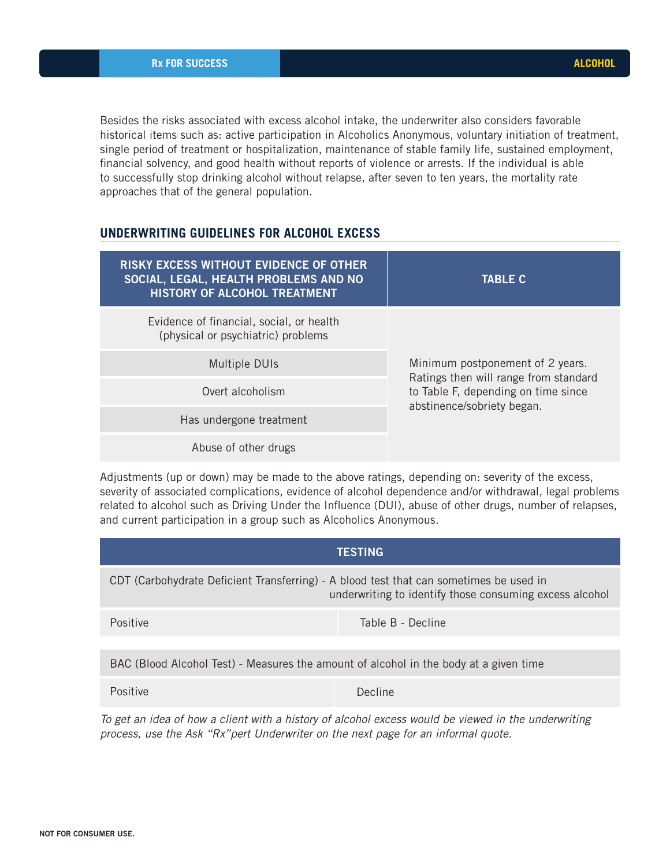Besides the risks associated with excess alcohol intake, the underwriter also considers favorable historical items such as: active participation in Alcoholics Anonymous, voluntary initiation of treatment, single period of treatment or hospitalization, maintenance of stable family life, sustained employment, financial solvency, and good health without reports of violence or arrests. If the individual is able to successfully stop drinking alcohol without relapse, after seven to ten years, the mortality rate approaches that of the general population.

## **UNDERWRITING GUIDELINES FOR ALCOHOL EXCESS**

| <b>RISKY EXCESS WITHOUT EVIDENCE OF OTHER</b><br>SOCIAL, LEGAL, HEALTH PROBLEMS AND NO<br>HISTORY OF ALCOHOL TREATMENT | <b>TABLE C</b>                                                                                                                                 |  |
|------------------------------------------------------------------------------------------------------------------------|------------------------------------------------------------------------------------------------------------------------------------------------|--|
| Evidence of financial, social, or health<br>(physical or psychiatric) problems                                         | Minimum postponement of 2 years.<br>Ratings then will range from standard<br>to Table F, depending on time since<br>abstinence/sobriety began. |  |
| <b>Multiple DUIs</b>                                                                                                   |                                                                                                                                                |  |
| Overt alcoholism                                                                                                       |                                                                                                                                                |  |
| Has undergone treatment                                                                                                |                                                                                                                                                |  |
| Abuse of other drugs                                                                                                   |                                                                                                                                                |  |

Adjustments (up or down) may be made to the above ratings, depending on: severity of the excess, severity of associated complications, evidence of alcohol dependence and/or withdrawal, legal problems related to alcohol such as Driving Under the Influence (DUI), abuse of other drugs, number of relapses, and current participation in a group such as Alcoholics Anonymous.

| <b>TESTING</b>                                                                                                                                    |                   |  |
|---------------------------------------------------------------------------------------------------------------------------------------------------|-------------------|--|
| CDT (Carbohydrate Deficient Transferring) - A blood test that can sometimes be used in<br>underwriting to identify those consuming excess alcohol |                   |  |
| Positive                                                                                                                                          | Table B - Decline |  |
|                                                                                                                                                   |                   |  |
| BAC (Blood Alcohol Test) - Measures the amount of alcohol in the body at a given time                                                             |                   |  |
| Positive                                                                                                                                          | Decline           |  |
| To get an idea of hour a client with a history of algabel excess would be viewed in the underwriting                                              |                   |  |

*To get an idea of how a client with a history of alcohol excess would be viewed in the underwriting process, use the Ask "Rx"pert Underwriter on the next page for an informal quote.*